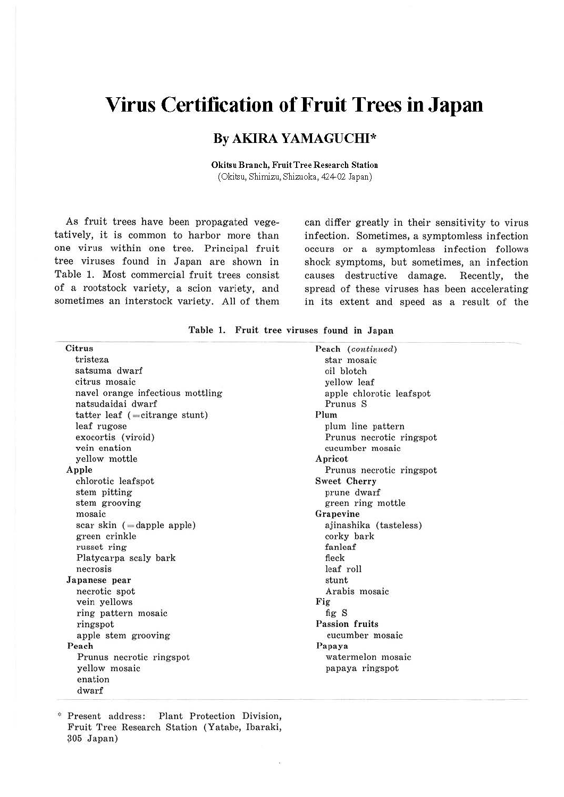# **Virus Certification of Fruit Trees in Japan**

### **By AKIRA YAMAGUCHI\***

**Okitsu Branch, Fruit Tree Research Station**  (Okitsu, Shimizu, Shizuoka, 424-02 Japan)

As fruit trees have been propagated vegetatively, it is common to harbor more than one virus within one tree. Principal fruit tree viruses found in Japan are shown in Table 1. Most commercial fruit trees consist of a rootstock variety, a scion variety, and sometimes an interstock variety. All of them

can differ greatly in their sensitivity to virus infection. Sometimes, a symptomless infection occurs or a symptomless infection follows shock symptoms, but sometimes, an infection causes destrnctive damage. Recently, the spread of these viruses has been accelerating in its extent and speed as a result of the

| Table 1. Fruit tree viruses found in Japan |  |
|--------------------------------------------|--|
|--------------------------------------------|--|

| Citrus                            | Peach (continued)        |
|-----------------------------------|--------------------------|
| tristeza                          | star mosaic              |
| satsuma dwarf                     | oil blotch               |
| citrus mosaic                     | yellow leaf              |
| navel orange infectious mottling  | apple chlorotic leafspot |
| natsudaidai dwarf                 | Prunus S                 |
| tatter leaf $($ = citrange stunt) | Plum.                    |
| leaf rugose                       | plum line pattern        |
| exocortis (viroid)                | Prunus necrotic ringspot |
| vein enation                      | cucumber mosaic          |
| yellow mottle                     | Apricot                  |
| Apple                             | Prunus necrotic ringspot |
| chlorotic leafspot                | <b>Sweet Cherry</b>      |
| stem pitting                      | prune dwarf              |
| stem grooving                     | green ring mottle        |
| mosaic                            | Grapevine                |
| scar skin $($ = dapple apple)     | ajinashika (tasteless)   |
| green crinkle                     | corky bark               |
| russet ring                       | fanleaf                  |
| Platycarpa scaly bark             | fleck                    |
| necrosis                          | leaf roll                |
| Japanese pear                     | stunt                    |
| necrotic spot                     | Arabis mosaic            |
| vein yellows                      | Fig                      |
| ring pattern mosaic               | figS                     |
| ringspot                          | <b>Passion fruits</b>    |
| apple stem grooving               | cucumber mosaic          |
| Peach                             | Papaya                   |
| Prunus necrotic ringspot          | watermelon mosaic        |
| yellow mosaic                     | papaya ringspot          |
| enation                           |                          |
| dwarf                             |                          |

,:, Present address: Plant Protection Division, Fruit Tree Research Station (Yatabe, lbaraki, *?05* Japan)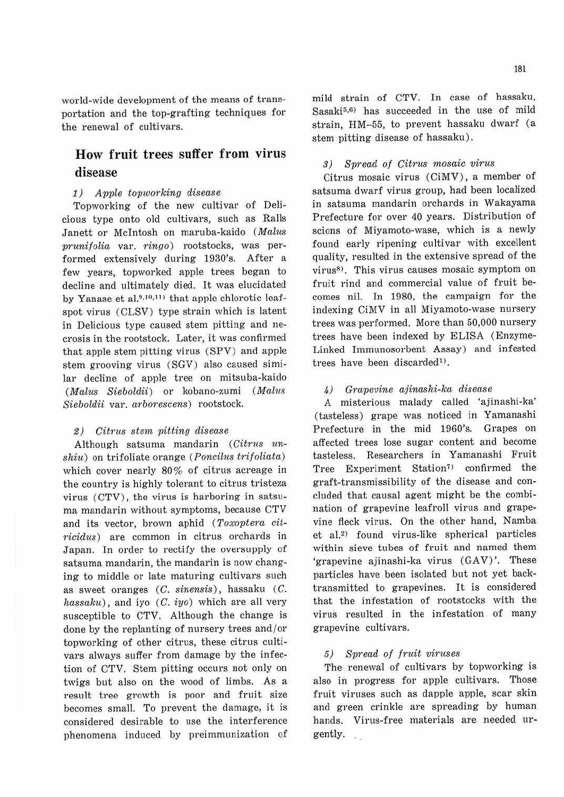world-wide development of the means of transportation and the top-grafting techniques for the renewal of cultivars.

# **How fruit trees suffer from virus disease**

#### 1) Apple topworking disease

Topworking of the new cultivar of Delicious type onto old cultivars, such as Ralls Janett or McIntosh on maruba-kaido (Malus prunifolia var. ringo) rootstocks, was performed extensively during 1930's. After a few years, topworked apple trees began to decline and ultimately died. It was elucidated by Yanase et al.<sup>9,10,11)</sup> that apple chlorotic leafspot virus (CLSV) type strain which is latent in Delicious type caused stem pitting and necrosis in the rootstock. Later, it was confirmed that apple stem pitting virus (SPV) and apple stem grooving virus (SGV) also caused similar decline of apple tree on mitsuba-kaido (Malus Sieboldii) or kobano-zumi (Malus Sieboldii var. arborescens) rootstock.

#### *2)* Citrus stem. pitting disease

Although satsuma mandarin  $(Citrus$   $un$  $shiu)$  on trifoliate orange (*Poncilus trifoliata*) which cover nearly 80% of citrus acreage in the country is highly tolerant to citrus tristeza virus (CTV), the virus is harboring in satsuma mandarin without symptoms, because CTV and its vector, brown aphid (Toxoptera citricidus) are common in citrus orchards in Japan. In order to rectify the oversupply of satsuma mandarin, the mandarin is now changing to middle or late maturing cultivars such as sweet oranges (C. sinensis), hassaku (C. hassaku), and iyo  $(C, iyo)$  which are all very susceptible to CTV. Although the change is done by the replanting of nursery trees and /or topworking of other citrus, these citrus cultivars always suffer from damage by the infection of CTV. Stem pitting occurs not only on twigs but also on the wood of limbs. As a result tree growth is poor and fruit size becomes small. To prevent the damage, it is considered desirable to use the interference phenomena induced by preimmunization of mild strain of CTV. In case of hassaku, Sasaki<sup>5,6)</sup> has succeeded in the use of mild strain, HM-55, to prevent hassaku dwarf (a stem pitting disease of hassaku).

#### 3) Spread of Citrus mosaic virus

Citrus mosaic virus (CiMV), a member of satsuma dwarf virus group, had been localized in satsuma mandarin orchards in Wakayama Prefecture for over 40 years. Distribution of scions of Miyamoto-wase, which is a newly found early ripening cultivar with excellent quality, resulted in the extensive spread of the virus<sup>8)</sup>. This virus causes mosaic symptom on fruit rind and commercial value of fruit becomes nil. In 1980, the campaign for the indexing CiMV in all Miyamoto-wase nursery trees was performed. More than 50,000 nursery trees have been indexed by ELISA (Enzyme-Linked Immunosorbent Assay) and infested trees have been discarded<sup>1)</sup>.

#### 4) Grapevine ajinashi-ka disease

A misterious malady called 'ajinashi-ka' (tasteless) grape was noticed in Yamanashi Prefecture in the mid 1960's. Grapes on affected trees lose sugar content and become tasteless. Researchers in Yamanashi Fruit Tree Experiment Station<sup>7)</sup> confirmed the graft-transmissibility of the disease and concluded that causal agent might be the combination of grapevine leafroll virus and grapevine fleck virus. On the other hand, Namba et al.<sup>2)</sup> found virus-like spherical particles within sieve tubes of fruit and named them 'grapevine ajinashi-ka virus (GAV)'. These particles have been isolated but not yet backtransmitted to grapevines. It is considered that the infestation of rootstocks with the virus resulted in the infestation of many grapevine cultivars.

#### 5) Spread of fruit viruses

The renewal of cultivars by topworking is also in progress for apple cultivars. Those fruit viruses such as dapple apple, scar skin and green crinkle are spreading by human hands. Virus-free materials are needed urgently.  $\mathcal{L}_{\rm eff}$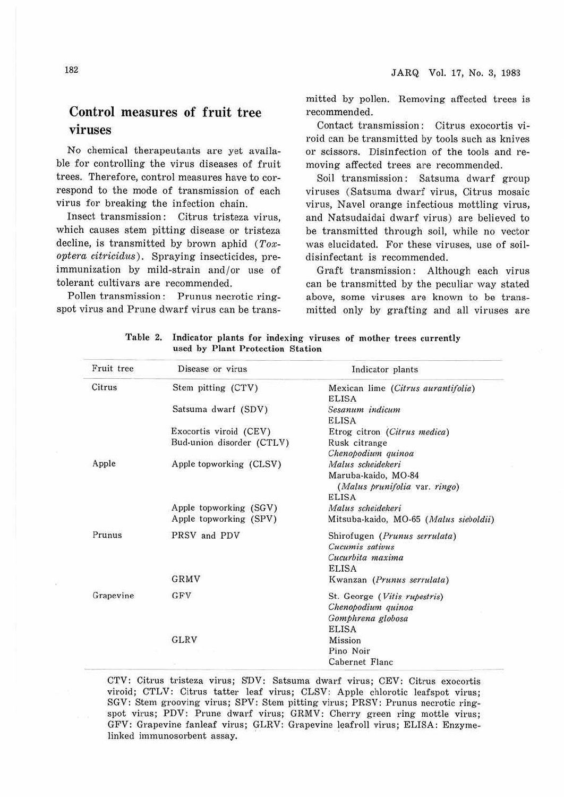# **Control measures of fruit tree viruses**

No chemical therapeutants are yet available for controlling the virus diseases of fruit trees. Therefore, control measures have to correspond to the mode of transmission of each virus for breaking the infection chain.

Insect transmission : Citrus tristeza virus, which causes stem pitting disease or tristeza decline, is transmitted by brown aphid  $(Tox$ *optera citricidus).* Spraying insecticides, preimmunization by mild-strain and /or use of tolerant cultivars are recommended.

Pollen transmission: Prunus necrotic ringspot virus and Prune dwarf virus can be transmitted by pollen. Removing affected trees is recommended.

Contact transmission: Citrus exocortis viroid can be transmitted by tools such as knives or scissors. Disinfection of the tools and removing affected trees are recommended.

Soil transmission: Satsuma dwarf group viruses (Satsuma dwarf virus, Citrus mosaic virus, Navel orange infectious mottling virus, and Natsudaidai dwarf virus) are believed to be transmitted through soil, while no vector was elucidated. For these viruses, use of soildisinfectant is recommended.

Graft transmission: Although each virus can be transmitted by the peculiar way stated above, some viruses are known to be transmitted only by grafting and all viruses are

| Fruit tree | Disease or virus          | Indicator plants                                     |
|------------|---------------------------|------------------------------------------------------|
| Citrus     | Stem pitting (CTV)        | Mexican lime (Citrus aurantifolia)<br><b>ELISA</b>   |
|            | Satsuma dwarf (SDV)       | Sesanum indicum<br><b>ELISA</b>                      |
|            | Exocortis viroid (CEV)    | Etrog citron (Citrus medica)                         |
|            | Bud-union disorder (CTLV) | Rusk citrange                                        |
|            |                           | Chenopodium quinoa                                   |
| Apple      | Apple topworking (CLSV)   | Malus scheidekeri                                    |
|            |                           | Maruba-kaido, MO-84<br>(Malus prunifolia var. ringo) |
|            |                           | <b>ELISA</b>                                         |
|            | Apple topworking (SGV)    | Malus scheidekeri                                    |
|            | Apple topworking (SPV)    | Mitsuba-kaido, MO-65 (Malus sieboldii)               |
| Prunus     | PRSV and PDV              | Shirofugen (Prunus serrulata)                        |
|            |                           | Cucumis sativus                                      |
|            |                           | Cucurbita maxima                                     |
|            |                           | <b>ELISA</b>                                         |
|            | GRMV                      | Kwanzan (Prunus serrulata)                           |
| Grapevine  | GFV                       | St. George (Vitis rupestris)                         |
|            |                           | Chenopodium quinoa                                   |
|            |                           | Gomphrena globosa                                    |
|            |                           | <b>ELISA</b>                                         |
|            | GLRV                      | Mission                                              |
|            |                           | Pino Noir                                            |
|            |                           | Cabernet Flanc                                       |

**Table 2. Indicator plants for indexing viruses of mother trees currently used by Plant Protection Station** 

CTV: Citrus tristeza virus; SDV: Satsuma dwarf virus; CEV: Citrus exocortis viroid; CTLV: Citrus tatter leaf virus; CLSV: Apple chlorotic leafspot virus; SGV: Stem grooving virus; SPV: Stem pitting virus; PRSV: Prunus necrotic ringspot virus; PDV: Prune dwarf virus; GRMV: Cherry green ring mottle virus; GFV: Grapevine fanleaf virus; GLRV: Grapevine leafroll virus; ELISA: Enzymelinked immunosorbent assay.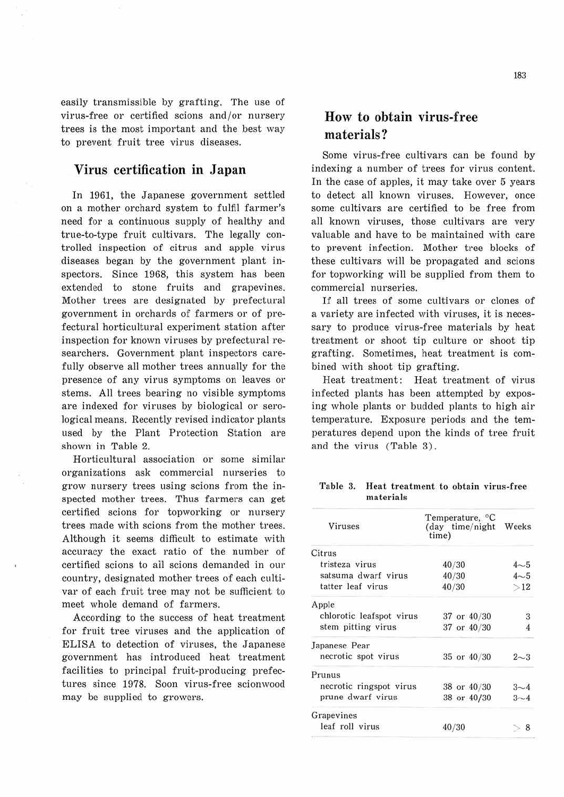easily transmissible by grafting. The use of virus-free or certified scions and/or nursery trees is the most important and the best way to prevent fruit tree virus diseases.

### **Virus certification in Japan**

In 1961, the Japanese government settled on a mother orchard system to fulfil farmer's need for a continuous supply of healthy and true-to-type fruit cultivars. The legally controlled inspection of citrus and apple virus diseases began by the government plant inspectors. Since 1968, this system has been extended to stone fruits and grapevines. Mother trees are designated by prefectural government in orchards of farmers or of prefectural horticultural experiment station after inspection for known viruses by prefectural researchers. Government plant inspectors carefully observe all mother trees annually for the presence of any virus symptoms on leaves or stems. All trees bearing no visible symptoms are indexed for viruses by biological or serological means. Recently revised indicator plants used by the Plant Protection Station are shown in Table 2.

Horticultural association or some similar organizations ask commercial nurseries to grow nursery trees using scions from the inspected mother trees. Thus farmers can get certified scions for topworking or nursery trees made with scions from the mother trees. Although it seems difficult to estimate with accuracy the exact ratio of the number of certified scions to afl scions demanded in our country, designated mother trees of each cultivar of each fruit tree may not be sufficient to meet whole demand of farmers.

According to the success of heat treatment for fruit tree viruses and the application of ELISA to detection of viruses, the Japanese government has introduced heat treatment facilities to principal fruit-producing prefectures since 1978. Soon virus-free scionwood may be supplied to growers.

# **How to obtain virus-free materials?**

Some virus-free cultivars can be found by indexing a number of trees for virus content. In the case of apples, it may take over 5 years to detect all known viruses. However, once some cultivars are certified to be free from all known viruses, those cultivars are very valuable and have to be maintained with care to prevent infection. Mother tree blocks of these cultivars will be propagated and scions for topworking will be supplied from them to commercial nurseries.

If all trees of some cultivars or clones of a variety are infected with viruses, it is necessary to produce virus-free materials by heat treatment or shoot tip culture or shoot tip grafting. Sometimes, heat treatment is combined with shoot tip grafting.

Heat treatment: Heat treatment of virus infected plants has been attempted by exposing whole plants or budded plants to high air temperature. Exposure periods and the temperatures depend upon the kinds of tree fruit and the virus (Table 3) .

Table 3. Heat treatment to obtain virus-free materials

| <b>Viruses</b>           | Temperature, °C<br>(day time/night<br>time) | Weeks   |
|--------------------------|---------------------------------------------|---------|
| Citrus                   |                                             |         |
| tristeza virus           | 40/30                                       | $4 - 5$ |
| satsuma dwarf virus      | 40/30                                       | $4 - 5$ |
| tatter leaf virus        | 40/30                                       | >12     |
| Apple                    |                                             |         |
| chlorotic leafspot virus | 37 or 40/30                                 | 3       |
| stem pitting virus       | 37 or 40/30                                 |         |
| Japanese Pear            |                                             |         |
| necrotic spot virus      | 35 or 40/30                                 | $2 - 3$ |
| Prunus                   |                                             |         |
| necrotic ringspot virus  | 38 or 40/30                                 | $3 - 4$ |
| prune dwarf virus        | 38 or 40/30                                 | $3 - 4$ |
| Grapevines               |                                             |         |
| leaf roll virus          | 40/30                                       | 8       |